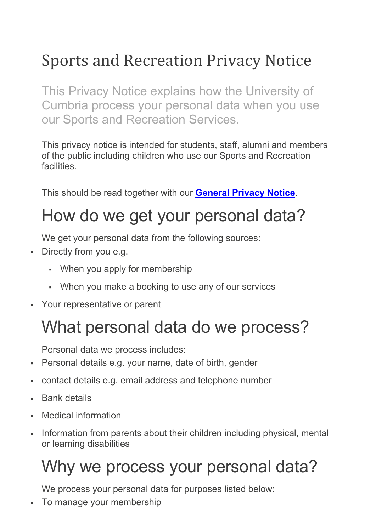## Sports and Recreation Privacy Notice

This Privacy Notice explains how the University of Cumbria process your personal data when you use our Sports and Recreation Services.

This privacy notice is intended for students, staff, alumni and members of the public including children who use our Sports and Recreation facilities.

This should be read together with our **[General Privacy Notice](https://www.cumbria.ac.uk/about/organisation/professional-services/vice-chancellors-office/data-protection/)**.

## How do we get your personal data?

We get your personal data from the following sources:

- Directly from you e.g.
	- When you apply for membership
	- When you make a booking to use any of our services
- Your representative or parent

## What personal data do we process?

Personal data we process includes:

- Personal details e.g. your name, date of birth, gender
- contact details e.g. email address and telephone number
- Bank details
- Medical information
- Information from parents about their children including physical, mental or learning disabilities

# Why we process your personal data?

We process your personal data for purposes listed below:

To manage your membership